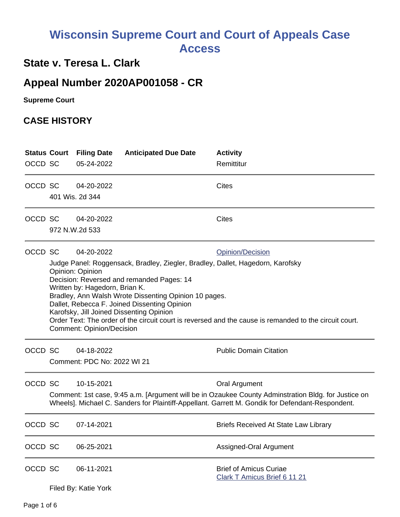# **Wisconsin Supreme Court and Court of Appeals Case Access**

## **State v. Teresa L. Clark**

## **Appeal Number 2020AP001058 - CR**

**Supreme Court** 

#### **CASE HISTORY**

| OCCD SC |                                                                                                                                                                                                                                                                                                                                                                                                                                                                                                                               | <b>Status Court Filing Date</b><br>05-24-2022 | <b>Anticipated Due Date</b> | <b>Activity</b><br>Remittitur                                                                                                                                                                                                   |
|---------|-------------------------------------------------------------------------------------------------------------------------------------------------------------------------------------------------------------------------------------------------------------------------------------------------------------------------------------------------------------------------------------------------------------------------------------------------------------------------------------------------------------------------------|-----------------------------------------------|-----------------------------|---------------------------------------------------------------------------------------------------------------------------------------------------------------------------------------------------------------------------------|
| OCCD SC |                                                                                                                                                                                                                                                                                                                                                                                                                                                                                                                               | 04-20-2022<br>401 Wis. 2d 344                 |                             | <b>Cites</b>                                                                                                                                                                                                                    |
| OCCD SC |                                                                                                                                                                                                                                                                                                                                                                                                                                                                                                                               | 04-20-2022<br>972 N.W.2d 533                  |                             | Cites                                                                                                                                                                                                                           |
| OCCD SC | 04-20-2022<br><b>Opinion/Decision</b><br>Judge Panel: Roggensack, Bradley, Ziegler, Bradley, Dallet, Hagedorn, Karofsky<br>Opinion: Opinion<br>Decision: Reversed and remanded Pages: 14<br>Written by: Hagedorn, Brian K.<br>Bradley, Ann Walsh Wrote Dissenting Opinion 10 pages.<br>Dallet, Rebecca F. Joined Dissenting Opinion<br>Karofsky, Jill Joined Dissenting Opinion<br>Order Text: The order of the circuit court is reversed and the cause is remanded to the circuit court.<br><b>Comment: Opinion/Decision</b> |                                               |                             |                                                                                                                                                                                                                                 |
| OCCD SC |                                                                                                                                                                                                                                                                                                                                                                                                                                                                                                                               | 04-18-2022<br>Comment: PDC No: 2022 WI 21     |                             | <b>Public Domain Citation</b>                                                                                                                                                                                                   |
| OCCD SC |                                                                                                                                                                                                                                                                                                                                                                                                                                                                                                                               | 10-15-2021                                    |                             | <b>Oral Argument</b><br>Comment: 1st case, 9:45 a.m. [Argument will be in Ozaukee County Adminstration Bldg. for Justice on<br>Wheels]. Michael C. Sanders for Plaintiff-Appellant. Garrett M. Gondik for Defendant-Respondent. |
| OCCD SC |                                                                                                                                                                                                                                                                                                                                                                                                                                                                                                                               | 07-14-2021                                    |                             | <b>Briefs Received At State Law Library</b>                                                                                                                                                                                     |
| OCCD SC |                                                                                                                                                                                                                                                                                                                                                                                                                                                                                                                               | 06-25-2021                                    |                             | Assigned-Oral Argument                                                                                                                                                                                                          |
| OCCD SC |                                                                                                                                                                                                                                                                                                                                                                                                                                                                                                                               | 06-11-2021<br>Filed By: Katie York            |                             | <b>Brief of Amicus Curiae</b><br><b>Clark T Amicus Brief 6 11 21</b>                                                                                                                                                            |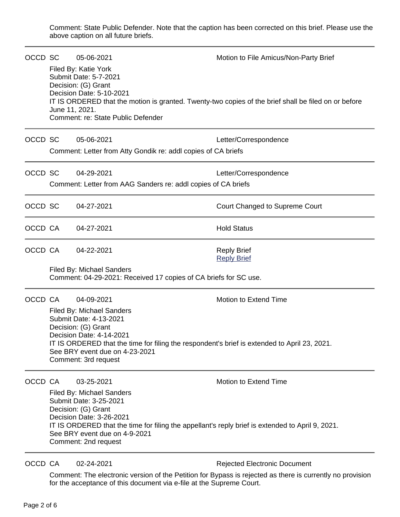Comment: State Public Defender. Note that the caption has been corrected on this brief. Please use the above caption on all future briefs.

| OCCD SC                                                                                       | June 11, 2021.                                                                                                                                                                                                                                                                                                        | 05-06-2021<br>Filed By: Katie York<br>Submit Date: 5-7-2021<br>Decision: (G) Grant<br>Decision Date: 5-10-2021<br>Comment: re: State Public Defender | Motion to File Amicus/Non-Party Brief<br>IT IS ORDERED that the motion is granted. Twenty-two copies of the brief shall be filed on or before |
|-----------------------------------------------------------------------------------------------|-----------------------------------------------------------------------------------------------------------------------------------------------------------------------------------------------------------------------------------------------------------------------------------------------------------------------|------------------------------------------------------------------------------------------------------------------------------------------------------|-----------------------------------------------------------------------------------------------------------------------------------------------|
| OCCD SC                                                                                       |                                                                                                                                                                                                                                                                                                                       | 05-06-2021<br>Comment: Letter from Atty Gondik re: addl copies of CA briefs                                                                          | Letter/Correspondence                                                                                                                         |
| OCCD SC                                                                                       |                                                                                                                                                                                                                                                                                                                       | 04-29-2021<br>Comment: Letter from AAG Sanders re: addl copies of CA briefs                                                                          | Letter/Correspondence                                                                                                                         |
| OCCD SC                                                                                       |                                                                                                                                                                                                                                                                                                                       | 04-27-2021                                                                                                                                           | Court Changed to Supreme Court                                                                                                                |
| OCCD CA                                                                                       |                                                                                                                                                                                                                                                                                                                       | 04-27-2021                                                                                                                                           | <b>Hold Status</b>                                                                                                                            |
| OCCD CA                                                                                       |                                                                                                                                                                                                                                                                                                                       | 04-22-2021                                                                                                                                           | <b>Reply Brief</b><br><b>Reply Brief</b>                                                                                                      |
| Filed By: Michael Sanders<br>Comment: 04-29-2021: Received 17 copies of CA briefs for SC use. |                                                                                                                                                                                                                                                                                                                       |                                                                                                                                                      |                                                                                                                                               |
| OCCD CA                                                                                       | 04-09-2021<br><b>Motion to Extend Time</b><br><b>Filed By: Michael Sanders</b><br>Submit Date: 4-13-2021<br>Decision: (G) Grant<br>Decision Date: 4-14-2021<br>IT IS ORDERED that the time for filing the respondent's brief is extended to April 23, 2021.<br>See BRY event due on 4-23-2021<br>Comment: 3rd request |                                                                                                                                                      |                                                                                                                                               |
| OCCD CA                                                                                       | 03-25-2021<br>Motion to Extend Time<br><b>Filed By: Michael Sanders</b><br>Submit Date: 3-25-2021<br>Decision: (G) Grant<br>Decision Date: 3-26-2021<br>IT IS ORDERED that the time for filing the appellant's reply brief is extended to April 9, 2021.<br>See BRY event due on 4-9-2021<br>Comment: 2nd request     |                                                                                                                                                      |                                                                                                                                               |
| OCCD CA                                                                                       |                                                                                                                                                                                                                                                                                                                       | 02-24-2021                                                                                                                                           | <b>Rejected Electronic Document</b>                                                                                                           |

Comment: The electronic version of the Petition for Bypass is rejected as there is currently no provision for the acceptance of this document via e-file at the Supreme Court.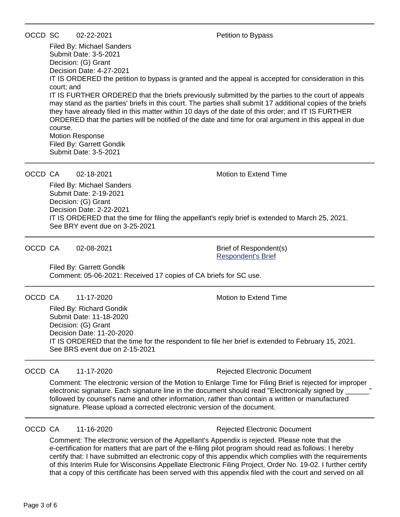OCCD SC 02-22-2021 Petition to Bypass

Filed By: Michael Sanders Submit Date: 3-5-2021 Decision: (G) Grant Decision Date: 4-27-2021 IT IS ORDERED the petition to bypass is granted and the appeal is accepted for consideration in this court; and IT IS FURTHER ORDERED that the briefs previously submitted by the parties to the court of appeals may stand as the parties' briefs in this court. The parties shall submit 17 additional copies of the briefs they have already filed in this matter within 10 days of the date of this order; and IT IS FURTHER ORDERED that the parties will be notified of the date and time for oral argument in this appeal in due course. Motion Response Filed By: Garrett Gondik Submit Date: 3-5-2021

OCCD CA  $\qquad$  02-18-2021  $\qquad$  Motion to Extend Time

Filed By: Michael Sanders Submit Date: 2-19-2021 Decision: (G) Grant Decision Date: 2-22-2021 IT IS ORDERED that the time for filing the appellant's reply brief is extended to March 25, 2021. See BRY event due on 3-25-2021

OCCD CA 02-08-2021 Brief of Respondent(s)

[Respondent's Brief](https://acefiling.wicourts.gov/document/eFiled/2020AP001058/334531)

Filed By: Garrett Gondik Comment: 05-06-2021: Received 17 copies of CA briefs for SC use.

OCCD CA 11-17-2020 Motion to Extend Time

Filed By: Richard Gondik Submit Date: 11-18-2020 Decision: (G) Grant Decision Date: 11-20-2020 IT IS ORDERED that the time for the respondent to file her brief is extended to February 15, 2021. See BRS event due on 2-15-2021

OCCD CA 11-17-2020 Rejected Electronic Document

Comment: The electronic version of the Motion to Enlarge Time for Filing Brief is rejected for improper electronic signature. Each signature line in the document should read "Electronically signed by \_\_\_\_\_\_" followed by counsel's name and other information, rather than contain a written or manufactured signature. Please upload a corrected electronic version of the document.

OCCD CA 11-16-2020 **Rejected Electronic Document** 

Comment: The electronic version of the Appellant's Appendix is rejected. Please note that the e-certification for matters that are part of the e-filing pilot program should read as follows: I hereby certify that: I have submitted an electronic copy of this appendix which complies with the requirements of this Interim Rule for Wisconsins Appellate Electronic Filing Project, Order No. 19-02. I further certify that a copy of this certificate has been served with this appendix filed with the court and served on all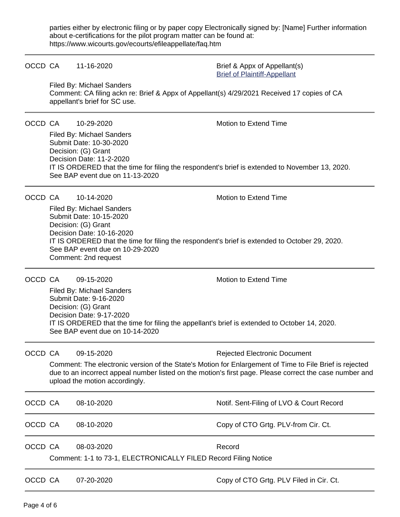parties either by electronic filing or by paper copy Electronically signed by: [Name] Further information about e-certifications for the pilot program matter can be found at: https://www.wicourts.gov/ecourts/efileappellate/faq.htm

|         | OCCD CA | 11-16-2020                                                                                                                                                                                                                                                            | Brief & Appx of Appellant(s)<br><b>Brief of Plaintiff-Appellant</b>                                                                                                                                                                                       |
|---------|---------|-----------------------------------------------------------------------------------------------------------------------------------------------------------------------------------------------------------------------------------------------------------------------|-----------------------------------------------------------------------------------------------------------------------------------------------------------------------------------------------------------------------------------------------------------|
|         |         | Filed By: Michael Sanders<br>Comment: CA filing ackn re: Brief & Appx of Appellant(s) 4/29/2021 Received 17 copies of CA<br>appellant's brief for SC use.                                                                                                             |                                                                                                                                                                                                                                                           |
| OCCD CA |         | 10-29-2020<br>Filed By: Michael Sanders<br>Submit Date: 10-30-2020<br>Decision: (G) Grant<br>Decision Date: 11-2-2020                                                                                                                                                 | Motion to Extend Time<br>IT IS ORDERED that the time for filing the respondent's brief is extended to November 13, 2020.                                                                                                                                  |
|         | OCCD CA | See BAP event due on 11-13-2020<br>10-14-2020                                                                                                                                                                                                                         | <b>Motion to Extend Time</b>                                                                                                                                                                                                                              |
|         |         | Filed By: Michael Sanders<br>Submit Date: 10-15-2020<br>Decision: (G) Grant<br>Decision Date: 10-16-2020<br>IT IS ORDERED that the time for filing the respondent's brief is extended to October 29, 2020.<br>See BAP event due on 10-29-2020<br>Comment: 2nd request |                                                                                                                                                                                                                                                           |
|         | OCCD CA | 09-15-2020<br>Filed By: Michael Sanders<br>Submit Date: 9-16-2020<br>Decision: (G) Grant<br>Decision Date: 9-17-2020<br>IT IS ORDERED that the time for filing the appellant's brief is extended to October 14, 2020.<br>See BAP event due on 10-14-2020              | Motion to Extend Time                                                                                                                                                                                                                                     |
| OCCD CA |         | 09-15-2020<br>upload the motion accordingly.                                                                                                                                                                                                                          | <b>Rejected Electronic Document</b><br>Comment: The electronic version of the State's Motion for Enlargement of Time to File Brief is rejected<br>due to an incorrect appeal number listed on the motion's first page. Please correct the case number and |
| OCCD CA |         | 08-10-2020                                                                                                                                                                                                                                                            | Notif. Sent-Filing of LVO & Court Record                                                                                                                                                                                                                  |
| OCCD CA |         | 08-10-2020                                                                                                                                                                                                                                                            | Copy of CTO Grtg. PLV-from Cir. Ct.                                                                                                                                                                                                                       |
| OCCD CA |         | 08-03-2020<br>Comment: 1-1 to 73-1, ELECTRONICALLY FILED Record Filing Notice                                                                                                                                                                                         | Record                                                                                                                                                                                                                                                    |
| OCCD CA |         | 07-20-2020                                                                                                                                                                                                                                                            | Copy of CTO Grtg. PLV Filed in Cir. Ct.                                                                                                                                                                                                                   |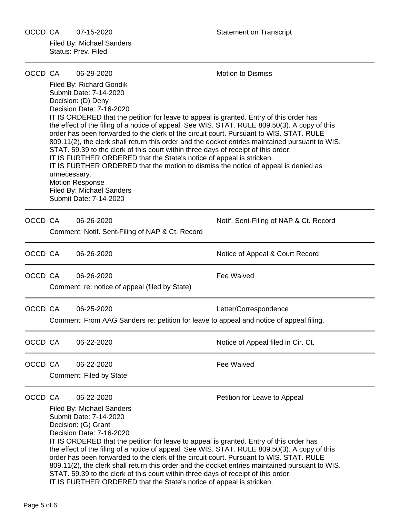OCCD CA 07-15-2020 Statement on Transcript Filed By: Michael Sanders Status: Prev. Filed

| OCCD CA |                                                                                                                                                                                                                                                                                                                                                                                                                                                                                                                                                                                                                                                                                                                     | 06-29-2020                                                                                                                                                                                                                                                                                                                                                                                                                                                                                                                                                                                                                                                                                                                                                                                                                                 | Motion to Dismiss                      |
|---------|---------------------------------------------------------------------------------------------------------------------------------------------------------------------------------------------------------------------------------------------------------------------------------------------------------------------------------------------------------------------------------------------------------------------------------------------------------------------------------------------------------------------------------------------------------------------------------------------------------------------------------------------------------------------------------------------------------------------|--------------------------------------------------------------------------------------------------------------------------------------------------------------------------------------------------------------------------------------------------------------------------------------------------------------------------------------------------------------------------------------------------------------------------------------------------------------------------------------------------------------------------------------------------------------------------------------------------------------------------------------------------------------------------------------------------------------------------------------------------------------------------------------------------------------------------------------------|----------------------------------------|
|         | unnecessary.                                                                                                                                                                                                                                                                                                                                                                                                                                                                                                                                                                                                                                                                                                        | Filed By: Richard Gondik<br>Submit Date: 7-14-2020<br>Decision: (D) Deny<br>Decision Date: 7-16-2020<br>IT IS ORDERED that the petition for leave to appeal is granted. Entry of this order has<br>the effect of the filing of a notice of appeal. See WIS. STAT. RULE 809.50(3). A copy of this<br>order has been forwarded to the clerk of the circuit court. Pursuant to WIS. STAT. RULE<br>809.11(2), the clerk shall return this order and the docket entries maintained pursuant to WIS.<br>STAT. 59.39 to the clerk of this court within three days of receipt of this order.<br>IT IS FURTHER ORDERED that the State's notice of appeal is stricken.<br>IT IS FURTHER ORDERED that the motion to dismiss the notice of appeal is denied as<br><b>Motion Response</b><br><b>Filed By: Michael Sanders</b><br>Submit Date: 7-14-2020 |                                        |
| OCCD CA |                                                                                                                                                                                                                                                                                                                                                                                                                                                                                                                                                                                                                                                                                                                     | 06-26-2020<br>Comment: Notif. Sent-Filing of NAP & Ct. Record                                                                                                                                                                                                                                                                                                                                                                                                                                                                                                                                                                                                                                                                                                                                                                              | Notif. Sent-Filing of NAP & Ct. Record |
| OCCD CA |                                                                                                                                                                                                                                                                                                                                                                                                                                                                                                                                                                                                                                                                                                                     | 06-26-2020                                                                                                                                                                                                                                                                                                                                                                                                                                                                                                                                                                                                                                                                                                                                                                                                                                 | Notice of Appeal & Court Record        |
| OCCD CA |                                                                                                                                                                                                                                                                                                                                                                                                                                                                                                                                                                                                                                                                                                                     | 06-26-2020<br>Comment: re: notice of appeal (filed by State)                                                                                                                                                                                                                                                                                                                                                                                                                                                                                                                                                                                                                                                                                                                                                                               | Fee Waived                             |
| OCCD CA |                                                                                                                                                                                                                                                                                                                                                                                                                                                                                                                                                                                                                                                                                                                     | 06-25-2020<br>Comment: From AAG Sanders re: petition for leave to appeal and notice of appeal filing.                                                                                                                                                                                                                                                                                                                                                                                                                                                                                                                                                                                                                                                                                                                                      | Letter/Correspondence                  |
| OCCD CA |                                                                                                                                                                                                                                                                                                                                                                                                                                                                                                                                                                                                                                                                                                                     | 06-22-2020                                                                                                                                                                                                                                                                                                                                                                                                                                                                                                                                                                                                                                                                                                                                                                                                                                 | Notice of Appeal filed in Cir. Ct.     |
| OCCD CA |                                                                                                                                                                                                                                                                                                                                                                                                                                                                                                                                                                                                                                                                                                                     | 06-22-2020<br><b>Comment: Filed by State</b>                                                                                                                                                                                                                                                                                                                                                                                                                                                                                                                                                                                                                                                                                                                                                                                               | Fee Waived                             |
| OCCD CA | 06-22-2020<br>Petition for Leave to Appeal<br><b>Filed By: Michael Sanders</b><br>Submit Date: 7-14-2020<br>Decision: (G) Grant<br>Decision Date: 7-16-2020<br>IT IS ORDERED that the petition for leave to appeal is granted. Entry of this order has<br>the effect of the filing of a notice of appeal. See WIS. STAT. RULE 809.50(3). A copy of this<br>order has been forwarded to the clerk of the circuit court. Pursuant to WIS. STAT. RULE<br>809.11(2), the clerk shall return this order and the docket entries maintained pursuant to WIS.<br>STAT. 59.39 to the clerk of this court within three days of receipt of this order.<br>IT IS FURTHER ORDERED that the State's notice of appeal is stricken. |                                                                                                                                                                                                                                                                                                                                                                                                                                                                                                                                                                                                                                                                                                                                                                                                                                            |                                        |